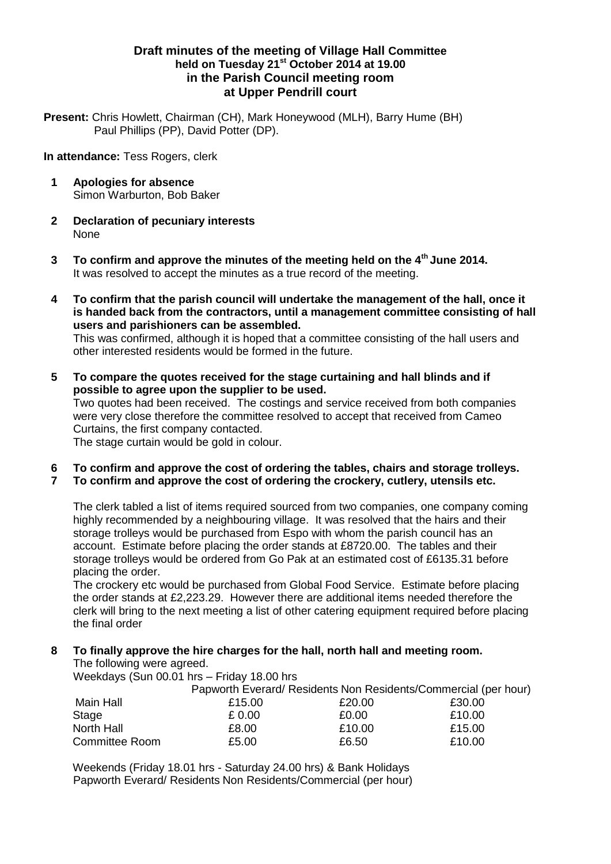## **Draft minutes of the meeting of Village Hall Committee held on Tuesday 21st October 2014 at 19.00 in the Parish Council meeting room at Upper Pendrill court**

**Present:** Chris Howlett, Chairman (CH), Mark Honeywood (MLH), Barry Hume (BH) Paul Phillips (PP), David Potter (DP).

**In attendance:** Tess Rogers, clerk

- **1 Apologies for absence** Simon Warburton, Bob Baker
- **2 Declaration of pecuniary interests** None
- **3 To confirm and approve the minutes of the meeting held on the 4th June 2014.** It was resolved to accept the minutes as a true record of the meeting.
- **4 To confirm that the parish council will undertake the management of the hall, once it is handed back from the contractors, until a management committee consisting of hall users and parishioners can be assembled.**

This was confirmed, although it is hoped that a committee consisting of the hall users and other interested residents would be formed in the future.

- **5 To compare the quotes received for the stage curtaining and hall blinds and if possible to agree upon the supplier to be used.** Two quotes had been received. The costings and service received from both companies were very close therefore the committee resolved to accept that received from Cameo Curtains, the first company contacted. The stage curtain would be gold in colour.
- **6 To confirm and approve the cost of ordering the tables, chairs and storage trolleys. 7 To confirm and approve the cost of ordering the crockery, cutlery, utensils etc.**

The clerk tabled a list of items required sourced from two companies, one company coming highly recommended by a neighbouring village. It was resolved that the hairs and their storage trolleys would be purchased from Espo with whom the parish council has an account. Estimate before placing the order stands at £8720.00. The tables and their storage trolleys would be ordered from Go Pak at an estimated cost of £6135.31 before placing the order.

The crockery etc would be purchased from Global Food Service. Estimate before placing the order stands at £2,223.29. However there are additional items needed therefore the clerk will bring to the next meeting a list of other catering equipment required before placing the final order

#### **8 To finally approve the hire charges for the hall, north hall and meeting room.** The following were agreed.

Weekdays (Sun 00.01 hrs – Friday 18.00 hrs

|                       | Papworth Everard/Residents Non Residents/Commercial (per hour) |        |        |  |
|-----------------------|----------------------------------------------------------------|--------|--------|--|
| Main Hall             | £15.00                                                         | £20.00 | £30.00 |  |
| Stage                 | £ 0.00                                                         | £0.00  | £10.00 |  |
| North Hall            | £8.00                                                          | £10.00 | £15.00 |  |
| <b>Committee Room</b> | £5.00                                                          | £6.50  | £10.00 |  |

Weekends (Friday 18.01 hrs - Saturday 24.00 hrs) & Bank Holidays Papworth Everard/ Residents Non Residents/Commercial (per hour)